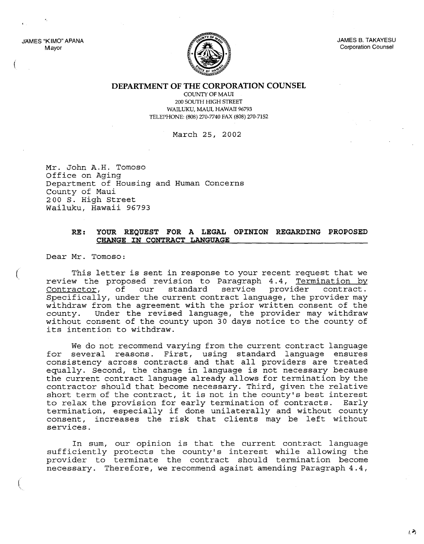JAMES "KIMO" APANA Mayor

'.

(

(

( \.



JAMES B. TAKAYESU Corporation Counsel

**DEPARTMENT OF THE CORPORATION COUNSEL**

COUNTY OF MAUl 200 SOUTH HIGH STREET WAILUKU, MAUl, HAWAII 96793 TELEPHONE: (808) 270-7740 FAX (808) 270-7152

March 25, 2002

Mr. John A.H. Tomoso Office on Aging Department of Housing and Human Concerns County of Maui 200 S. High Street Wailuku, Hawaii 96793

## **RE: YOUR REQUEST FOR A LEGAL OPINION REGARDING PROPOSED CHANGE IN CONTRACT LANGUAGE**

Dear Mr. Tomoso:

This letter is sent in response to your recent request that we review the proposed revision to Paragraph 4.4, Termination by Contractor, of our standard service provider contract. Specifically, under the current contract language, the provider may withdraw from the agreement with the prior written consent of the county. Under the revised language, the provider may withdraw without consent of the county upon 30 days notice to the county of its intention to withdraw.

We do not recommend varying from the current contract language for several reasons. First, using standard language ensures consistency across contracts and that all providers are treated equally. Second, the change in language is not necessary because the current contract language already allows for termination by the contractor should that become necessary. Third, given the relative short term of the contract, it is not in the county's best interest to relax the provision for early termination of contracts. Early termination, especially if done unilaterally and without county consent, increases the risk that clients may be left without services.

In sum, our opinion is that the current contract language sufficiently protects the county's interest while allowing the provider to terminate the contract should termination become necessary. Therefore, we recommend against amending Paragraph 4.4,

 $12$